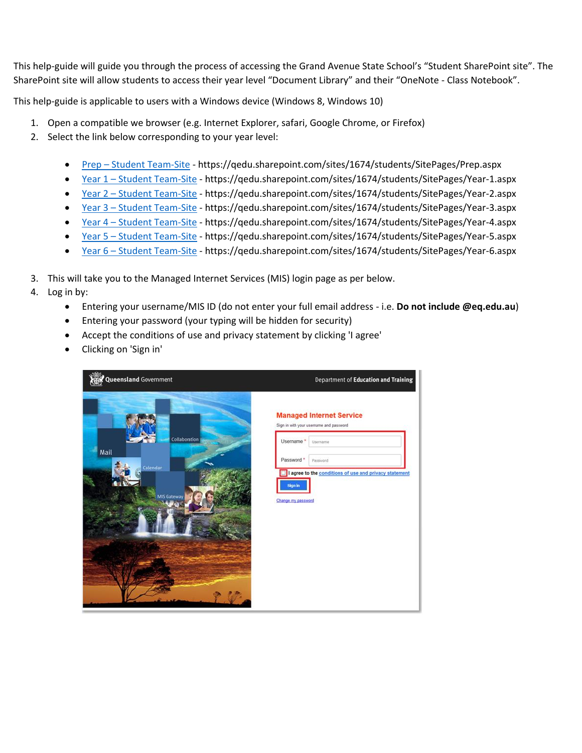This help-guide will guide you through the process of accessing the Grand Avenue State School's "Student SharePoint site". The SharePoint site will allow students to access their year level "Document Library" and their "OneNote - Class Notebook".

This help-guide is applicable to users with a Windows device (Windows 8, Windows 10)

- 1. Open a compatible we browser (e.g. Internet Explorer, safari, Google Chrome, or Firefox)
- 2. Select the link below corresponding to your year level:
	- Prep [Student Team-Site](https://qedu.sharepoint.com/sites/1674/students/SitePages/Prep.aspx) https://qedu.sharepoint.com/sites/1674/students/SitePages/Prep.aspx
	- Year 1 [Student Team-Site](https://qedu.sharepoint.com/sites/1674/students/SitePages/Year-1.aspx) https://qedu.sharepoint.com/sites/1674/students/SitePages/Year-1.aspx
	- Year 2 [Student Team-Site](https://qedu.sharepoint.com/sites/1674/students/SitePages/Year-2.aspx) https://qedu.sharepoint.com/sites/1674/students/SitePages/Year-2.aspx
	- Year 3 [Student Team-Site](https://qedu.sharepoint.com/sites/1674/students/SitePages/Year-3.aspx) https://qedu.sharepoint.com/sites/1674/students/SitePages/Year-3.aspx
	- Year 4 [Student Team-Site](https://qedu.sharepoint.com/sites/1674/students/SitePages/Year-4.aspx) https://qedu.sharepoint.com/sites/1674/students/SitePages/Year-4.aspx
	- Year 5 [Student Team-Site](https://qedu.sharepoint.com/sites/1674/students/SitePages/Year-5.aspx) https://qedu.sharepoint.com/sites/1674/students/SitePages/Year-5.aspx
	- Year 6 [Student Team-Site](https://qedu.sharepoint.com/sites/1674/students/SitePages/Year-6.aspx) https://qedu.sharepoint.com/sites/1674/students/SitePages/Year-6.aspx
- 3. This will take you to the Managed Internet Services (MIS) login page as per below.
- 4. Log in by:
	- Entering your username/MIS ID (do not enter your full email address i.e. **Do not include @eq.edu.au**)
	- Entering your password (your typing will be hidden for security)
	- Accept the conditions of use and privacy statement by clicking 'I agree'
	- Clicking on 'Sign in'

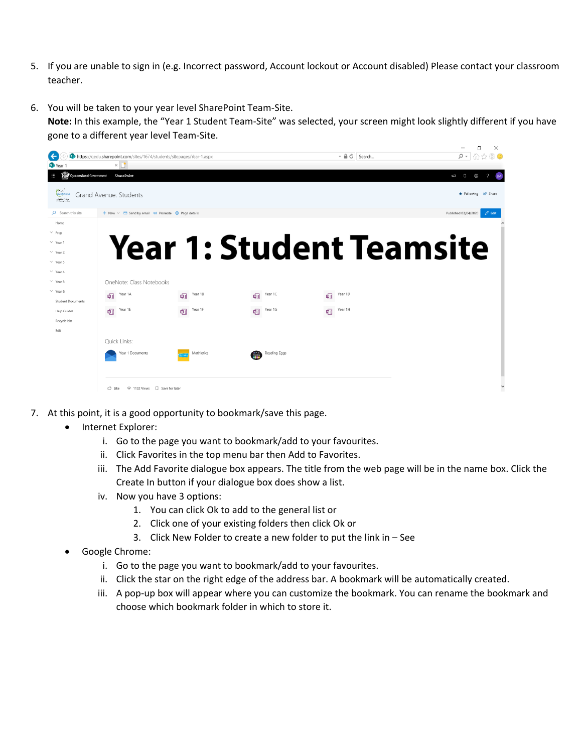- 5. If you are unable to sign in (e.g. Incorrect password, Account lockout or Account disabled) Please contact your classroom teacher.
- 6. You will be taken to your year level SharePoint Team-Site.

**Note:** In this example, the "Year 1 Student Team-Site" was selected, your screen might look slightly different if you have gone to a different year level Team-Site.

|                                                          |                                                                                                  |              |                                   | $- 0$                           | 门<br>X<br>- ۹                                  |
|----------------------------------------------------------|--------------------------------------------------------------------------------------------------|--------------|-----------------------------------|---------------------------------|------------------------------------------------|
| $\leftarrow$<br>S <sup>p</sup> Year                      | https://gedu.sharepoint.com/sites/1674/students/sitepages/Year-1.aspx<br>$\times$                |              |                                   | Search                          | ∩☆※◎                                           |
| <b>RAY Queensland Government</b><br>m                    | <b>SharePoint</b>                                                                                |              |                                   |                                 | $\overline{\phantom{0}}$<br>$\Omega$<br>Ø<br>ĥ |
| <b>Crast</b> Autrice<br>⊙ Rabing ~ Our<br>Colladog ~ Bap | Grand Avenue: Students                                                                           |              |                                   |                                 | ★ Following Le Share                           |
| O Search this site                                       | + New $\vee$ $\blacksquare$ Send by email $\blacktriangleright$ Promote $\clubsuit$ Page details |              |                                   |                                 | Published 03/04/2020<br>$\mathscr O$ Edit      |
| Home                                                     |                                                                                                  |              |                                   |                                 |                                                |
| $\vee$ Prep                                              |                                                                                                  |              |                                   |                                 |                                                |
| $\vee$ Year 1                                            |                                                                                                  |              |                                   | <b>Year 1: Student Teamsite</b> |                                                |
| $\vee$ Year 2                                            |                                                                                                  |              |                                   |                                 |                                                |
| $\vee$ Year 3                                            |                                                                                                  |              |                                   |                                 |                                                |
| $\vee$ Year 4                                            |                                                                                                  |              |                                   |                                 |                                                |
| $\vee$ Year 5                                            | OneNote: Class Notebooks                                                                         |              |                                   |                                 |                                                |
| $\vee$ Year 6                                            | Year 1A<br>嘔                                                                                     | Year 1B<br>喕 | Year 1C<br>啯                      | Year 1D<br>哂                    |                                                |
| <b>Student Documents</b>                                 |                                                                                                  |              |                                   |                                 |                                                |
| <b>Help Guides</b>                                       | Year 1E<br>啯                                                                                     | Year 1F<br>啯 | Year 1G<br>啯                      | Year 1H<br>啯                    |                                                |
| Recycle bin                                              |                                                                                                  |              |                                   |                                 |                                                |
| Edit                                                     |                                                                                                  |              |                                   |                                 |                                                |
|                                                          | Quick Links:                                                                                     |              |                                   |                                 |                                                |
|                                                          | Year 1 Documents                                                                                 | Mathletics   | Reading Eggs<br>$\frac{131}{220}$ |                                 |                                                |
|                                                          |                                                                                                  |              |                                   |                                 |                                                |
|                                                          |                                                                                                  |              |                                   |                                 |                                                |
|                                                          |                                                                                                  |              |                                   |                                 | $\checkmark$                                   |

- 7. At this point, it is a good opportunity to bookmark/save this page.
	- Internet Explorer:
		- i. Go to the page you want to bookmark/add to your favourites.
		- ii. Click Favorites in the top menu bar then Add to Favorites.
		- iii. The Add Favorite dialogue box appears. The title from the web page will be in the name box. Click the Create In button if your dialogue box does show a list.
		- iv. Now you have 3 options:
			- 1. You can click Ok to add to the general list or
			- 2. Click one of your existing folders then click Ok or
			- 3. Click New Folder to create a new folder to put the link in See
	- Google Chrome:
		- i. Go to the page you want to bookmark/add to your favourites.
		- ii. Click the star on the right edge of the address bar. A bookmark will be automatically created.
		- iii. A pop-up box will appear where you can customize the bookmark. You can rename the bookmark and choose which bookmark folder in which to store it.